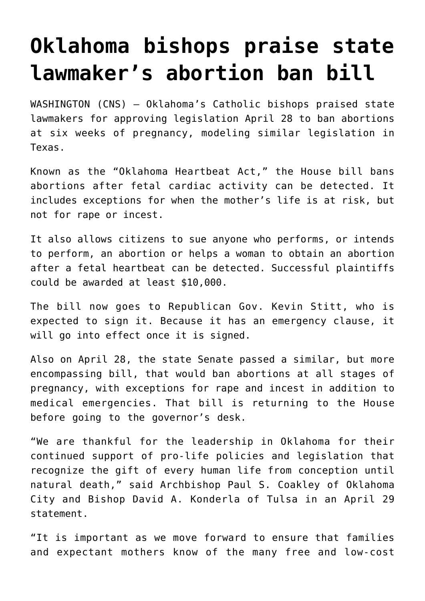## **[Oklahoma bishops praise state](https://www.osvnews.com/2022/05/02/oklahoma-bishops-praise-state-lawmakers-abortion-ban-bill/) [lawmaker's abortion ban bill](https://www.osvnews.com/2022/05/02/oklahoma-bishops-praise-state-lawmakers-abortion-ban-bill/)**

WASHINGTON (CNS) — Oklahoma's Catholic bishops praised state lawmakers for approving legislation April 28 to ban abortions at six weeks of pregnancy, modeling similar legislation in Texas.

Known as the "Oklahoma Heartbeat Act," the House bill bans abortions after fetal cardiac activity can be detected. It includes exceptions for when the mother's life is at risk, but not for rape or incest.

It also allows citizens to sue anyone who performs, or intends to perform, an abortion or helps a woman to obtain an abortion after a fetal heartbeat can be detected. Successful plaintiffs could be awarded at least \$10,000.

The bill now goes to Republican Gov. Kevin Stitt, who is expected to sign it. Because it has an emergency clause, it will go into effect once it is signed.

Also on April 28, the state Senate passed a similar, but more encompassing bill, that would ban abortions at all stages of pregnancy, with exceptions for rape and incest in addition to medical emergencies. That bill is returning to the House before going to the governor's desk.

"We are thankful for the leadership in Oklahoma for their continued support of pro-life policies and legislation that recognize the gift of every human life from conception until natural death," said Archbishop Paul S. Coakley of Oklahoma City and Bishop David A. Konderla of Tulsa in an April 29 statement.

"It is important as we move forward to ensure that families and expectant mothers know of the many free and low-cost